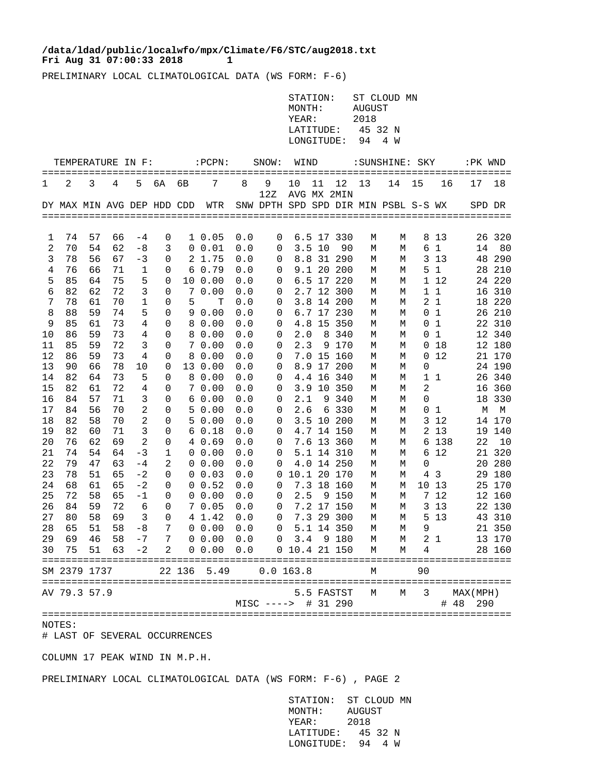## **Fri Aug 31 07:00:33 2018** 1 **/data/ldad/public/localwfo/mpx/Climate/F6/STC/aug2018.txt**

PRELIMINARY LOCAL CLIMATOLOGICAL DATA (WS FORM: F-6)

|          |                               |          |          |                     |        |    |                                                            |            |                                             | STATION:<br>MONTH:<br>YEAR:<br>LATITUDE:<br>LONGITUDE: |       |                          | AUGUST<br>2018<br>45 32 N<br>94 | ST CLOUD MN<br>4 W                    |                  |                      |                      |                  |    |
|----------|-------------------------------|----------|----------|---------------------|--------|----|------------------------------------------------------------|------------|---------------------------------------------|--------------------------------------------------------|-------|--------------------------|---------------------------------|---------------------------------------|------------------|----------------------|----------------------|------------------|----|
| ===      | TEMPERATURE IN F:             |          |          |                     |        |    | $:$ $PCPN:$<br>============================                |            | SNOW:                                       | WIND<br>=================                              |       |                          |                                 | :SUNSHINE: SKY<br>=================== |                  |                      | :PK WND              | =======          |    |
| 1        | 2                             | 3        | 4        | 5                   | 6A     | 6В | 7                                                          | 8          | 9                                           | 10                                                     | 11    | 12                       | 13                              | 14                                    | 15               | 16                   | 17                   | 18               |    |
|          | DY MAX MIN AVG DEP HDD CDD    |          |          |                     |        |    | WTR                                                        |            | 12Z<br>SNW DPTH SPD SPD DIR MIN PSBL S-S WX | AVG MX 2MIN                                            |       |                          |                                 |                                       |                  |                      |                      | SPD DR           |    |
|          |                               |          |          |                     |        |    |                                                            |            |                                             |                                                        |       |                          |                                 |                                       |                  |                      |                      |                  |    |
| 1        | 74                            | 57       | 66       | -4                  | 0      |    | 10.05                                                      | 0.0        | 0                                           |                                                        |       | 6.5 17 330               | М                               | М                                     | 8                | 13                   |                      | 26 320           |    |
| 2        | 70                            | 54       | 62       | $-8$                | 3      |    | 0 0.01                                                     | 0.0        | 0                                           |                                                        | 3.510 | 90                       | М                               | М                                     | 6                | $\mathbf 1$          | 14                   |                  | 80 |
| 3<br>4   | 78<br>76                      | 56<br>66 | 67<br>71 | $-3$<br>$\mathbf 1$ | 0<br>0 |    | 2 1.75<br>60.79                                            | 0.0<br>0.0 | 0                                           |                                                        |       | 8.8 31 290<br>9.1 20 200 | М                               | М                                     | 3                | 13<br>5 <sub>1</sub> | 48                   | 290<br>28 210    |    |
| 5        | 85                            | 64       | 75       | 5                   | 0      |    | 10 0.00                                                    | 0.0        | 0<br>0                                      |                                                        |       | 6.5 17 220               | М<br>М                          | М<br>М                                |                  | 1 12                 |                      | 24 220           |    |
| 6        | 82                            | 62       | 72       | 3                   | 0      | 7  | 0.00                                                       | 0.0        | 0                                           |                                                        |       | 2.7 12 300               | М                               | М                                     |                  | 11                   | 16                   | 310              |    |
| 7        | 78                            | 61       | 70       | 1                   | 0      | 5  | т                                                          | 0.0        | 0                                           |                                                        |       | 3.8 14 200               | М                               | М                                     | 2                | $\mathbf{1}$         |                      | 18 220           |    |
| 8        | 88                            | 59       | 74       | 5                   | 0      | 9  | 0.00                                                       | 0.0        | 0                                           |                                                        |       | 6.7 17 230               | М                               | М                                     | 0                | $\mathbf 1$          |                      | 26 210           |    |
| 9        | 85                            | 61       | 73       | 4                   | 0      |    | 8 0.00                                                     | 0.0        | 0                                           |                                                        |       | 4.8 15 350               | М                               | М                                     | 0                | 1                    |                      | 22 310           |    |
| 10       | 86                            | 59       | 73       | 4                   | 0      |    | 8 0.00                                                     | 0.0        | 0                                           | 2.0                                                    | 8     | 340                      | М                               | М                                     | 0                | $\mathbf 1$          |                      | 12 340           |    |
| 11       | 85                            | 59       | 72       | 3                   | 0      |    | 70.00                                                      | 0.0        | 0                                           | 2.3                                                    |       | 9 170                    | М                               | М                                     | 0                | 18                   |                      | 12 180           |    |
| 12       | 86<br>90                      | 59       | 73<br>78 | 4                   | 0      | 8  | 0.00                                                       | 0.0        | 0                                           |                                                        |       | 7.0 15 160               | М                               | М                                     | 0                | 12                   |                      | 21 170           |    |
| 13<br>14 | 82                            | 66<br>64 | 73       | 10<br>5             | 0<br>0 |    | 13 0.00<br>8 0.00                                          | 0.0<br>0.0 | 0<br>0                                      |                                                        |       | 8.9 17 200<br>4.4 16 340 | М<br>М                          | М<br>М                                | 0<br>$\mathbf 1$ | 1                    | 26                   | 24 190<br>340    |    |
| 15       | 82                            | 61       | 72       | 4                   | 0      |    | 70.00                                                      | 0.0        | 0                                           |                                                        |       | 3.9 10 350               | М                               | М                                     | 2                |                      | 16                   | 360              |    |
| 16       | 84                            | 57       | 71       | 3                   | 0      | 6  | 0.00                                                       | 0.0        | 0                                           | 2.1                                                    | 9     | 340                      | М                               | М                                     | 0                |                      | 18                   | 330              |    |
| 17       | 84                            | 56       | 70       | 2                   | 0      |    | 50.00                                                      | 0.0        | 0                                           | 2.6                                                    |       | 6 330                    | М                               | М                                     | 0                | $\mathbf{1}$         | М                    | М                |    |
| 18       | 82                            | 58       | 70       | 2                   | 0      |    | 50.00                                                      | 0.0        | 0                                           |                                                        |       | 3.5 10 200               | М                               | М                                     |                  | 3 1 2                |                      | 14 170           |    |
| 19       | 82                            | 60       | 71       | 3                   | 0      |    | 60.18                                                      | 0.0        | 0                                           |                                                        |       | 4.7 14 150               | М                               | М                                     |                  | 2 13                 |                      | 19 140           |    |
| 20       | 76                            | 62       | 69       | 2                   | 0      | 4  | 0.69                                                       | 0.0        | 0                                           |                                                        |       | 7.6 13 360               | М                               | М                                     | 6                | 138                  | 22                   |                  | 10 |
| 21       | 74                            | 54       | 64       | $-3$                | 1      |    | 0 0.00                                                     | 0.0        | 0                                           |                                                        |       | 5.1 14 310               | М                               | М                                     | 6                | 12                   |                      | 21 320           |    |
| 22<br>23 | 79<br>78                      | 47<br>51 | 63<br>65 | $-4$<br>$-2$        | 2<br>0 | 0  | 0 0.00<br>0.03                                             | 0.0<br>0.0 | 0<br>0                                      | 10.1 20 170                                            |       | 4.0 14 250               | М<br>М                          | М<br>М                                | 0<br>4           | 3                    |                      | 20 280<br>29 180 |    |
| 24       | 68                            | 61       | 65       | $-2$                | 0      | 0  | 0.52                                                       | 0.0        | 0                                           |                                                        |       | 7.3 18 160               | М                               | М                                     | 10               | 13                   |                      | 25 170           |    |
| 25       | 72                            | 58       | 65       | -1                  | 0      | 0  | 0.00                                                       | 0.0        | 0                                           | 2.5                                                    |       | 9 150                    | М                               | М                                     |                  | 7 12                 |                      | 12 160           |    |
| 26       | 84                            | 59       | 72       | 6                   | 0      |    | 70.05                                                      | 0.0        | 0                                           |                                                        |       | 7.2 17 150               | М                               | М                                     | 3                | 13                   |                      | 22 130           |    |
| 27       | 80                            | 58       | 69       | 3                   | 0      |    | 4 1.42                                                     | 0.0        | 0                                           |                                                        |       | 7.3 29 300               | М                               | М                                     | 5                | 13                   | 43                   | 310              |    |
| 28       | 65                            | 51       | 58       | $-8$                | 7      |    | $0\;\;0.00$                                                | 0.0        | 0                                           |                                                        |       | 5.1 14 350               | М                               | М                                     | 9                |                      |                      | 21 350           |    |
|          |                               |          |          |                     |        |    | 29 69 46 58 −7 7 0 0.00 0.0<br>30 75 51 63 −2 2 0 0.00 0.0 |            |                                             | $0$ 3.4 9 180                                          |       |                          | М                               | M                                     |                  | 21                   |                      | 13 170           |    |
|          | ============================= |          |          |                     |        |    | 0 0.00 0.0 0 10.4 21 150                                   |            |                                             |                                                        |       |                          | М                               | М                                     | 4                |                      |                      | 28 160           |    |
|          | SM 2379 1737                  |          |          |                     |        |    | 22 136 5.49                                                |            | 0.0 163.8                                   |                                                        |       |                          | М                               |                                       | 90               |                      |                      |                  |    |
|          | AV 79.3 57.9                  |          |          |                     |        |    |                                                            |            | MISC ----> # 31 290                         |                                                        |       | 5.5 FASTST               | М                               | М                                     | 3                |                      | MAX(MPH)<br># 48 290 |                  |    |
|          |                               |          |          |                     |        |    |                                                            |            |                                             |                                                        |       |                          |                                 |                                       |                  |                      |                      |                  |    |

## NOTES:

# LAST OF SEVERAL OCCURRENCES

COLUMN 17 PEAK WIND IN M.P.H.

PRELIMINARY LOCAL CLIMATOLOGICAL DATA (WS FORM: F-6) , PAGE 2

 STATION: ST CLOUD MN MONTH: AUGUST YEAR: 2018 LATITUDE: 45 32 N LONGITUDE: 94 4 W